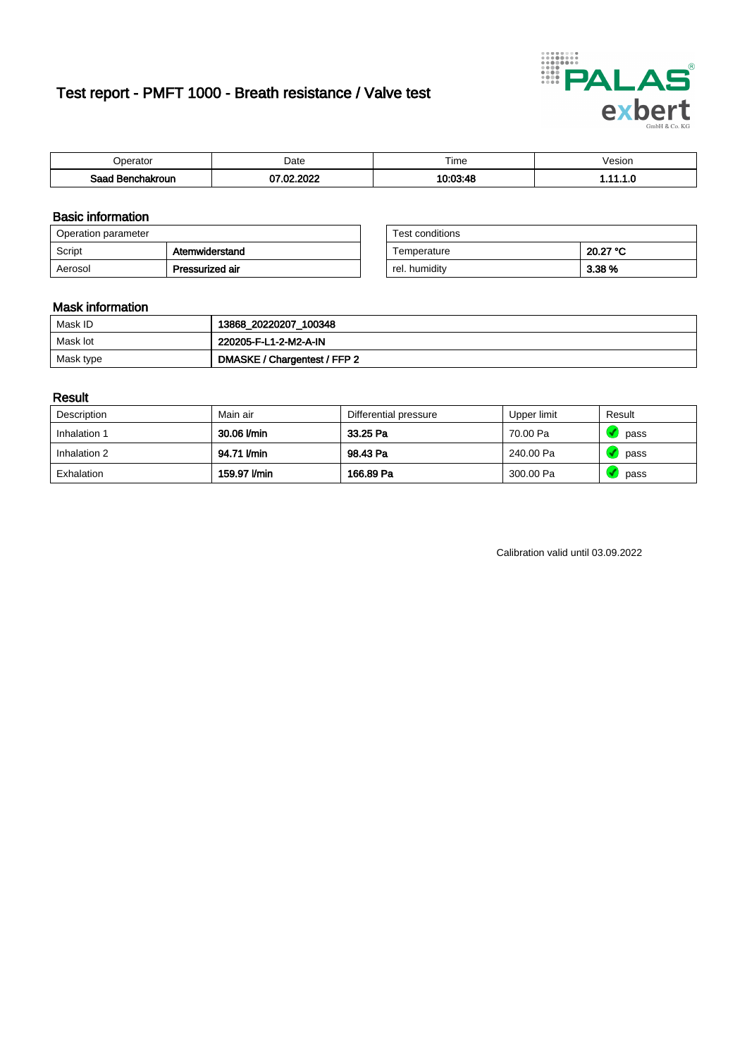# Test report - PMFT 1000 - Breath resistance / Valve test



| )perator               | Date               | $- \cdot$<br><b>Time</b> | esion |
|------------------------|--------------------|--------------------------|-------|
| המס<br>hakroun<br>saac | . ooon<br>-nn<br>w | 10.03.18                 | .     |

### Basic information

| Operation parameter |                 | Test conditions |          |
|---------------------|-----------------|-----------------|----------|
| Script              | Atemwiderstand  | Temperature     | 20.27 °C |
| Aerosol             | Pressurized air | rel. humidity   | 3.38 %   |

| Test conditions |          |
|-----------------|----------|
| Temperature     | 20.27 °C |
| rel. humidity   | 3.38 %   |

### Mask information

| Mask ID   | 13868_20220207_100348        |
|-----------|------------------------------|
| Mask lot  | 220205-F-L1-2-M2-A-IN        |
| Mask type | DMASKE / Chargentest / FFP 2 |

### Result

| Description  | Main air     | Differential pressure | Upper limit | Result |
|--------------|--------------|-----------------------|-------------|--------|
| Inhalation 1 | 30.06 l/min  | 33.25 Pa              | 70.00 Pa    | pass   |
| Inhalation 2 | 94.71 l/min  | 98.43 Pa              | 240.00 Pa   | pass   |
| Exhalation   | 159.97 l/min | 166.89 Pa             | 300.00 Pa   | pass   |

Calibration valid until 03.09.2022